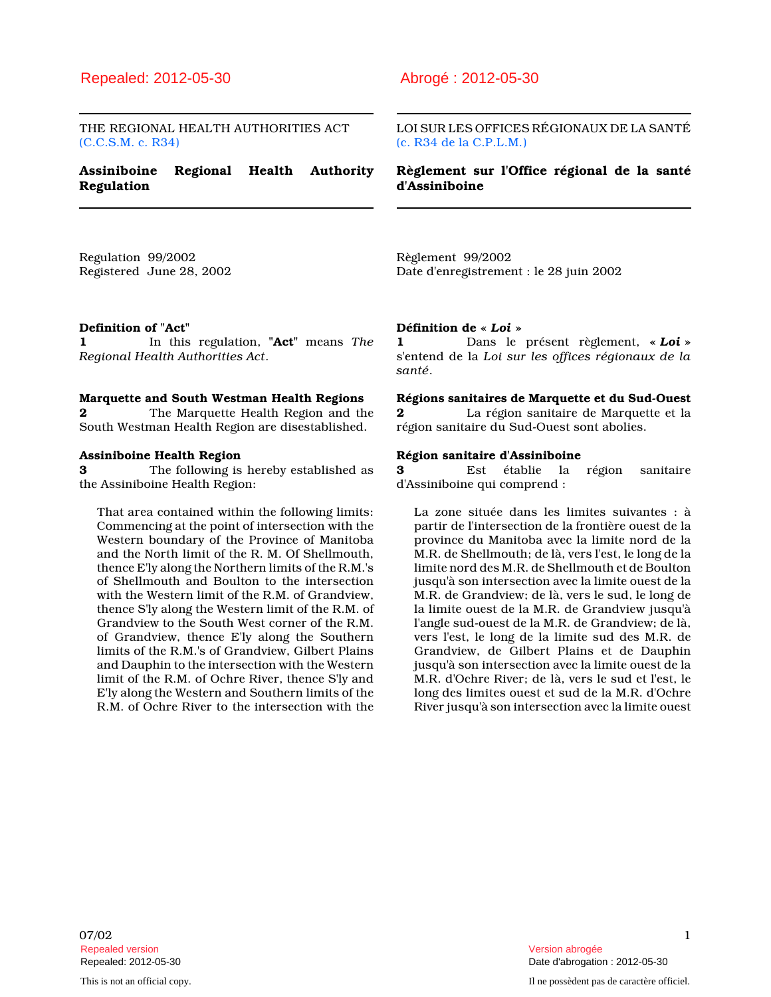# Repealed: 2012-05-30 Abrogé : 2012-05-30

THE REGIONAL HEALTH AUTHORITIES ACT (C.C.S.M. c. R34)

# Assiniboine Regional Health Authority Regulation

LOI SUR LES OFFICES RÉGIONAUX DE LA SANTÉ (c. R34 de la C.P.L.M.)

Règlement sur l'Office régional de la santé d'Assiniboine

Regulation 99/2002 Registered June 28, 2002 Règlement 99/2002 Date d'enregistrement : le 28 juin 2002

#### Definition of "Act"

1 In this regulation, "Act" means The Regional Health Authorities Act.

#### Marquette and South Westman Health Regions

2 The Marquette Health Region and the South Westman Health Region are disestablished.

#### Assiniboine Health Region

3 The following is hereby established as the Assiniboine Health Region:

That area contained within the following limits: Commencing at the point of intersection with the Western boundary of the Province of Manitoba and the North limit of the R. M. Of Shellmouth, thence E'ly along the Northern limits of the R.M.'s of Shellmouth and Boulton to the intersection with the Western limit of the R.M. of Grandview, thence S'ly along the Western limit of the R.M. of Grandview to the South West corner of the R.M. of Grandview, thence E'ly along the Southern limits of the R.M.'s of Grandview, Gilbert Plains and Dauphin to the intersection with the Western limit of the R.M. of Ochre River, thence S'ly and E'ly along the Western and Southern limits of the R.M. of Ochre River to the intersection with the

#### Définition de « Loi »

1 Dans le présent règlement, « Loi » s'entend de la Loi sur les offices régionaux de la santé.

#### Régions sanitaires de Marquette et du Sud-Ouest

2 La région sanitaire de Marquette et la région sanitaire du Sud-Ouest sont abolies.

# **Région sanitaire d'Assiniboine**<br>3 Est établie la

Est établie la région sanitaire d'Assiniboine qui comprend :

La zone située dans les limites suivantes : à partir de l'intersection de la frontière ouest de la province du Manitoba avec la limite nord de la M.R. de Shellmouth; de là, vers l'est, le long de la limite nord des M.R. de Shellmouth et de Boulton jusqu'à son intersection avec la limite ouest de la M.R. de Grandview; de là, vers le sud, le long de la limite ouest de la M.R. de Grandview jusqu'à l'angle sud-ouest de la M.R. de Grandview; de là, vers l'est, le long de la limite sud des M.R. de Grandview, de Gilbert Plains et de Dauphin jusqu'à son intersection avec la limite ouest de la M.R. d'Ochre River; de là, vers le sud et l'est, le long des limites ouest et sud de la M.R. d'Ochre River jusqu'à son intersection avec la limite ouest

 $07/02$  and  $1$ Repealed version Version abrogée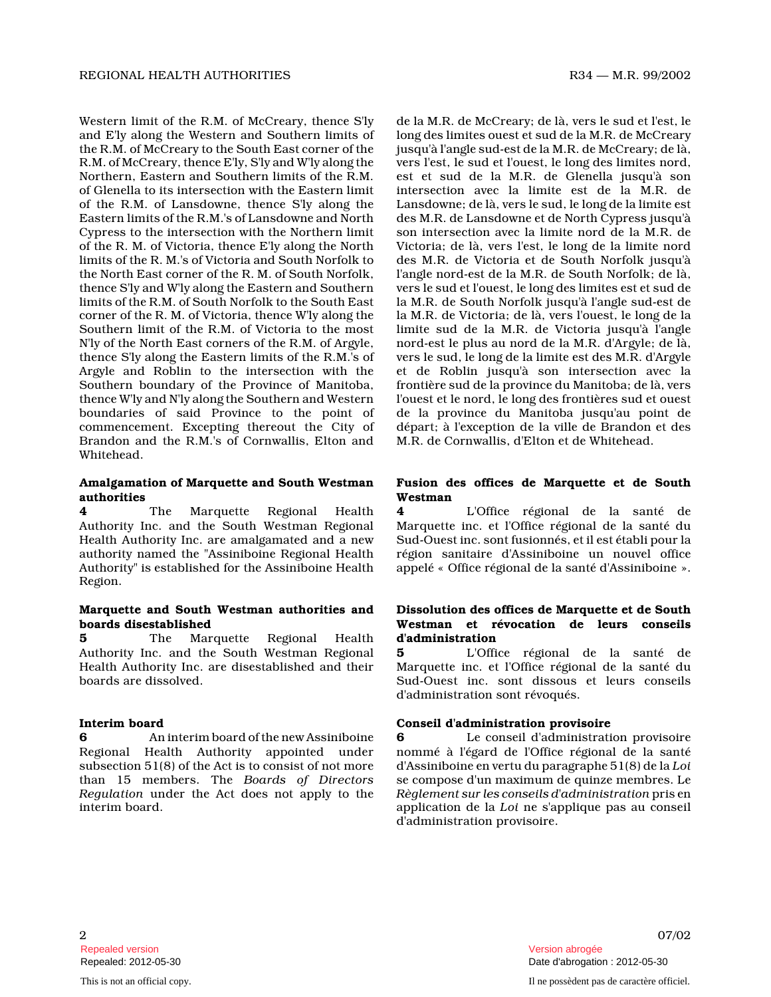Western limit of the R.M. of McCreary, thence S'ly and E'ly along the Western and Southern limits of the R.M. of McCreary to the South East corner of th e R.M. of McCreary, thence E'ly, S'ly and W'ly along the Northern, Eastern and Southern limits of the R.M. of Glenella to its intersection with the Eastern limit of the R.M. of Lansdowne, thence S'ly along the Eastern limits of the R.M.'s of Lansdowne and North Cypress to the intersection with the Northern limit of the R. M. of Victoria, thence E'ly along the North limits of the R. M.'s of Victoria and South Norfolk to the North East corner of the R. M. of South Norfolk , thence S'ly and W'ly along the Eastern and Southern limits of the R.M. of South Norfolk to the South East corner of the R. M. of Victoria, thence W'ly along the Southern limit of the R.M. of Victoria to the most N'ly of the North East corners of the R.M. of Argyle, thence S'ly along the Eastern limits of the R.M.'s of Argyle and Roblin to the intersection with the Southern boundary of the Province of Manitoba, thence W'ly and N'ly along the Southern and Western boundaries of said Province to the point of commencement. Excepting thereout the City of Brandon and the R.M.'s of Cornwallis, Elton and Whitehead.

#### Amalgamation of Marquette and South Westman authorities

4 The Marquette Regional Health Authority Inc. and the South Westman Regional Health Authority Inc. are amalgamated and a new authority named the "Assiniboine Regional Health Authority" is established for the Assiniboine Healt h Region.

#### Marquette and South Westman authorities and boards disestablished

**5** The Marquette Regional Health Authority Inc. and the South Westman Regional Health Authority Inc. are disestablished and their boards are dissolved.

#### Interim board

6 An interim board of the new Assiniboine Regional Health Authority appointed under subsection 51(8) of the Act is to consist of not more than 15 members. The Boards of Directors Regulation under the Act does not apply to the interim board.

de la M.R. de McCreary; de là, vers le sud et l'est, le long des limites ouest et sud de la M.R. de McCrear y jusqu'à l'angle sud-est de la M.R. de McCreary; de là, vers l'est, le sud et l'ouest, le long des limites nord, est et sud de la M.R. de Glenella jusqu'à son intersection avec la limite est de la M.R. de Lansdowne; de là, vers le sud, le long de la limite est des M.R. de Lansdowne et de North Cypress jusqu'à son intersection avec la limite nord de la M.R. de Victoria; de là, vers l'est, le long de la limite nord des M.R. de Victoria et de South Norfolk jusqu'à l'angle nord-est de la M.R. de South Norfolk; de là , vers le sud et l'ouest, le long des limites est et sud de la M.R. de South Norfolk jusqu'à l'angle sud-est de la M.R. de Victoria; de là, vers l'ouest, le long de la limite sud de la M.R. de Victoria jusqu'à l'angle nord-est le plus au nord de la M.R. d'Argyle; de là , vers le sud, le long de la limite est des M.R. d'Argyle et de Roblin jusqu'à son intersection avec la frontière sud de la province du Manitoba; de là, vers l'ouest et le nord, le long des frontières sud et ouest de la province du Manitoba jusqu'au point de départ; à l'exception de la ville de Brandon et des M.R. de Cornwallis, d'Elton et de Whitehead.

### Fusion des offices de Marquette et de South Westman

4 L'Office régional de la santé de Marquette inc. et l'Office régional de la santé du Sud-Ouest inc. sont fusionnés, et il est établi pour la région sanitaire d'Assiniboine un nouvel office appelé « Office régional de la santé d'Assiniboine ».

# Dissolution des offices de Marquette et de South Westman et révocation de leurs conseils d'administration

5 L'Office régional de la santé de Marquette inc. et l'Office régional de la santé du Sud-Ouest inc. sont dissous et leurs conseils d'administration sont révoqués.

# Conseil d'administration provisoire

6 Le conseil d'administration provisoire nommé à l'égard de l'Office régional de la santé d'Assiniboine en vertu du paragraphe 51(8) de la Loi se compose d'un maximum de quinze membres. Le Règlement sur les conseils d'administration pris en application de la Loi ne s'applique pas au conseil d'administration provisoire.